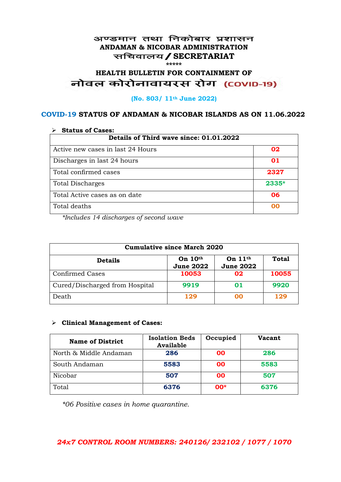#### अण्डमान तथा निकोबार प्रशासन **ANDAMAN & NICOBAR ADMINISTRATION** सचिवालय / SECRETARIAT **\*\*\*\*\***

# **HEALTH BULLETIN FOR CONTAINMENT OF**  नोवल कोरोनावायरस रोग (COVID-19)

#### **(No. 803/ 11th June 2022)**

### **COVID-19 STATUS OF ANDAMAN & NICOBAR ISLANDS AS ON 11.06.2022**

| <b>Status of Cases:</b>                 |       |  |
|-----------------------------------------|-------|--|
| Details of Third wave since: 01.01.2022 |       |  |
| Active new cases in last 24 Hours       | 02    |  |
| Discharges in last 24 hours             | 01    |  |
| Total confirmed cases                   | 2327  |  |
| <b>Total Discharges</b>                 | 2335* |  |
| Total Active cases as on date           | 06    |  |
| Total deaths                            | იი    |  |

*\*Includes 14 discharges of second wave*

| <b>Cumulative since March 2020</b> |                               |                               |              |
|------------------------------------|-------------------------------|-------------------------------|--------------|
| <b>Details</b>                     | On $10th$<br><b>June 2022</b> | On $11th$<br><b>June 2022</b> | <b>Total</b> |
| <b>Confirmed Cases</b>             | 10053                         | 02                            | 10055        |
| Cured/Discharged from Hospital     | 9919                          | 01                            | 9920         |
| Death                              | 129                           | ററ                            | 129          |

#### ➢ **Clinical Management of Cases:**

| <b>Name of District</b> | <b>Isolation Beds</b><br><b>Available</b> | Occupied  | <b>Vacant</b> |
|-------------------------|-------------------------------------------|-----------|---------------|
| North & Middle Andaman  | 286                                       | 00        | 286           |
| South Andaman           | 5583                                      | <b>OO</b> | 5583          |
| Nicobar                 | 507                                       | 00        | 507           |
| Total                   | 6376                                      | $00*$     | 6376          |

*\*06 Positive cases in home quarantine.*

## *24x7 CONTROL ROOM NUMBERS: 240126/ 232102 / 1077 / 1070*